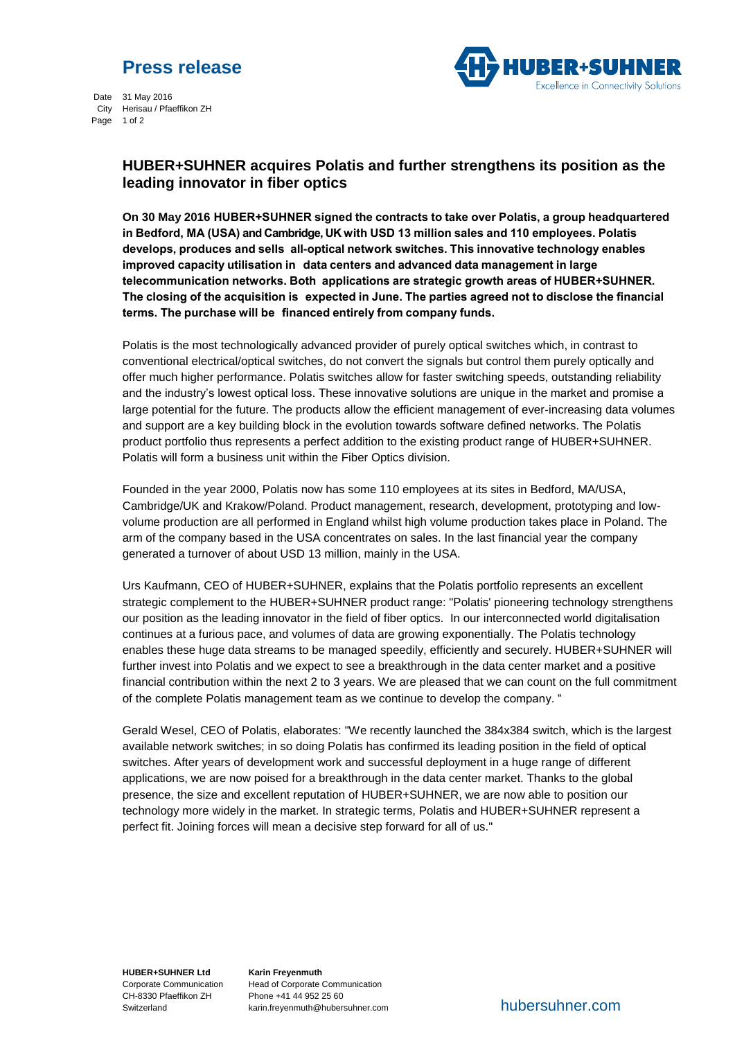## **Press release**



 Date 31 May 2016 City Herisau / Pfaeffikon ZH Page 1 of 2

## **HUBER+SUHNER acquires Polatis and further strengthens its position as the leading innovator in fiber optics**

**On 30 May 2016 HUBER+SUHNER signed the contracts to take over Polatis, a group headquartered in Bedford, MA (USA) and Cambridge, UK with USD 13 million sales and 110 employees. Polatis develops, produces and sells all-optical network switches. This innovative technology enables improved capacity utilisation in data centers and advanced data management in large telecommunication networks. Both applications are strategic growth areas of HUBER+SUHNER. The closing of the acquisition is expected in June. The parties agreed not to disclose the financial terms. The purchase will be financed entirely from company funds.**

Polatis is the most technologically advanced provider of purely optical switches which, in contrast to conventional electrical/optical switches, do not convert the signals but control them purely optically and offer much higher performance. Polatis switches allow for faster switching speeds, outstanding reliability and the industry's lowest optical loss. These innovative solutions are unique in the market and promise a large potential for the future. The products allow the efficient management of ever-increasing data volumes and support are a key building block in the evolution towards software defined networks. The Polatis product portfolio thus represents a perfect addition to the existing product range of HUBER+SUHNER. Polatis will form a business unit within the Fiber Optics division.

Founded in the year 2000, Polatis now has some 110 employees at its sites in Bedford, MA/USA, Cambridge/UK and Krakow/Poland. Product management, research, development, prototyping and lowvolume production are all performed in England whilst high volume production takes place in Poland. The arm of the company based in the USA concentrates on sales. In the last financial year the company generated a turnover of about USD 13 million, mainly in the USA.

Urs Kaufmann, CEO of HUBER+SUHNER, explains that the Polatis portfolio represents an excellent strategic complement to the HUBER+SUHNER product range: "Polatis' pioneering technology strengthens our position as the leading innovator in the field of fiber optics. In our interconnected world digitalisation continues at a furious pace, and volumes of data are growing exponentially. The Polatis technology enables these huge data streams to be managed speedily, efficiently and securely. HUBER+SUHNER will further invest into Polatis and we expect to see a breakthrough in the data center market and a positive financial contribution within the next 2 to 3 years. We are pleased that we can count on the full commitment of the complete Polatis management team as we continue to develop the company. "

Gerald Wesel, CEO of Polatis, elaborates: "We recently launched the 384x384 switch, which is the largest available network switches; in so doing Polatis has confirmed its leading position in the field of optical switches. After years of development work and successful deployment in a huge range of different applications, we are now poised for a breakthrough in the data center market. Thanks to the global presence, the size and excellent reputation of HUBER+SUHNER, we are now able to position our technology more widely in the market. In strategic terms, Polatis and HUBER+SUHNER represent a perfect fit. Joining forces will mean a decisive step forward for all of us."

**HUBER+SUHNER Ltd** Corporate Communication CH-8330 Pfaeffikon ZH Switzerland

**Karin Freyenmuth** Head of Corporate Communication Phone +41 44 952 25 60 karin.freyenmuth@hubersuhner.com hubersuhner.com hubersuhner.com